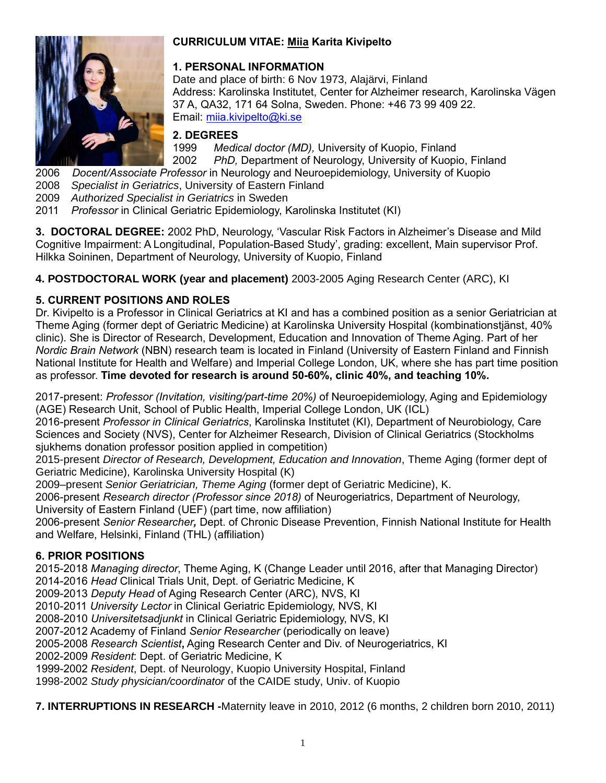

### **CURRICULUM VITAE: Miia Karita Kivipelto**

### **1. PERSONAL INFORMATION**

Date and place of birth: 6 Nov 1973, Alajärvi, Finland Address: Karolinska Institutet, Center for Alzheimer research, Karolinska Vägen 37 A, QA32, 171 64 Solna, Sweden. Phone: +46 73 99 409 22. Email: [miia.kivipelto@ki.se](mailto:miia.kivipelto@ki.se/)

### **2. DEGREES**

1999 *Medical doctor (MD),* University of Kuopio, Finland 2002 *PhD,* Department of Neurology, University of Kuopio, Finland

2006 *Docent/Associate Professor* in Neurology and Neuroepidemiology, University of Kuopio

2008 *Specialist in Geriatrics*, University of Eastern Finland

2009 *Authorized Specialist in Geriatrics* in Sweden

2011 *Professor* in Clinical Geriatric Epidemiology, Karolinska Institutet (KI)

**3. DOCTORAL DEGREE:** 2002 PhD, Neurology, 'Vascular Risk Factors in Alzheimer's Disease and Mild Cognitive Impairment: A Longitudinal, Population-Based Study', grading: excellent, Main supervisor Prof. Hilkka Soininen, Department of Neurology, University of Kuopio, Finland

**4. POSTDOCTORAL WORK (year and placement)** 2003-2005 Aging Research Center (ARC), KI

# **5. CURRENT POSITIONS AND ROLES**

Dr. Kivipelto is a Professor in Clinical Geriatrics at KI and has a combined position as a senior Geriatrician at Theme Aging (former dept of Geriatric Medicine) at Karolinska University Hospital (kombinationstjänst, 40% clinic). She is Director of Research, Development, Education and Innovation of Theme Aging. Part of her *Nordic Brain Network* (NBN) research team is located in Finland (University of Eastern Finland and Finnish National Institute for Health and Welfare) and Imperial College London, UK, where she has part time position as professor. **Time devoted for research is around 50-60%, clinic 40%, and teaching 10%.**

2017-present: *Professor (Invitation, visiting/part-time 20%)* of Neuroepidemiology, Aging and Epidemiology (AGE) Research Unit, School of Public Health, Imperial College London, UK (ICL)

2016-present *Professor in Clinical Geriatrics*, Karolinska Institutet (KI), Department of Neurobiology, Care Sciences and Society (NVS), Center for Alzheimer Research, Division of Clinical Geriatrics (Stockholms sjukhems donation professor position applied in competition)

2015-present *Director of Research, Development, Education and Innovation*, Theme Aging (former dept of Geriatric Medicine), Karolinska University Hospital (K)

2009–present *Senior Geriatrician, Theme Aging* (former dept of Geriatric Medicine), K.

2006-present *Research director (Professor since 2018)* of Neurogeriatrics, Department of Neurology,

University of Eastern Finland (UEF) (part time, now affiliation)

2006-present *Senior Researcher,* Dept. of Chronic Disease Prevention, Finnish National Institute for Health and Welfare, Helsinki, Finland (THL) (affiliation)

# **6. PRIOR POSITIONS**

2015-2018 *Managing director*, Theme Aging, K (Change Leader until 2016, after that Managing Director) 2014-2016 *Head* Clinical Trials Unit, Dept. of Geriatric Medicine, K

2009-2013 *Deputy Head* of Aging Research Center (ARC), NVS, KI

2010-2011 *University Lector* in Clinical Geriatric Epidemiology, NVS, KI

2008-2010 *Universitetsadjunkt* in Clinical Geriatric Epidemiology, NVS, KI

2007-2012 Academy of Finland *Senior Researcher* (periodically on leave)

2005-2008 *Research Scientist***,** Aging Research Center and Div. of Neurogeriatrics, KI

2002-2009 *Resident*: Dept. of Geriatric Medicine, K

1999-2002 *Resident*, Dept. of Neurology, Kuopio University Hospital, Finland

1998-2002 *Study physician/coordinator* of the CAIDE study, Univ. of Kuopio

**7. INTERRUPTIONS IN RESEARCH -**Maternity leave in 2010, 2012 (6 months, 2 children born 2010, 2011)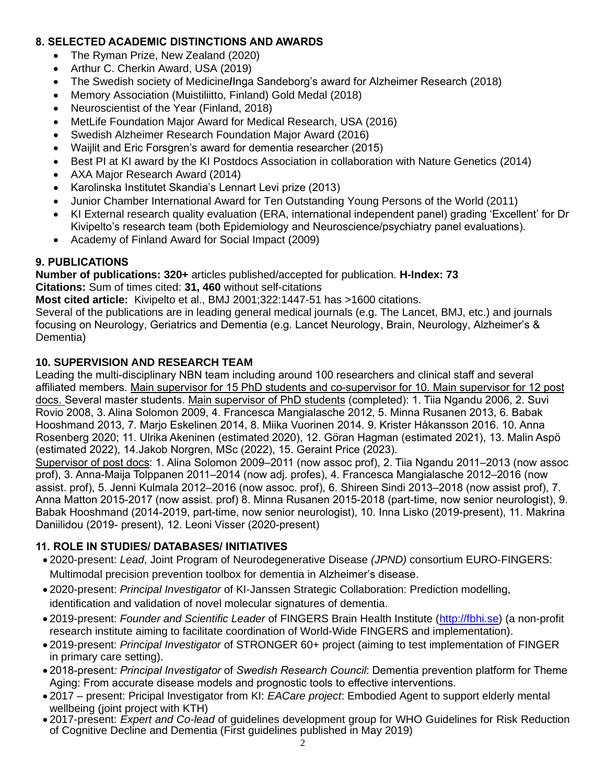### **8. SELECTED ACADEMIC DISTINCTIONS AND AWARDS**

- The Ryman Prize, New Zealand (2020)
- Arthur C. Cherkin Award, USA (2019)
- The Swedish society of Medicine**/**Inga Sandeborg's award for Alzheimer Research (2018)
- Memory Association (Muistiliitto, Finland) Gold Medal (2018)
- Neuroscientist of the Year (Finland, 2018)
- MetLife Foundation Major Award for Medical Research, USA (2016)
- Swedish Alzheimer Research Foundation Major Award (2016)
- Waijlit and Eric Forsgren's award for dementia researcher (2015)
- Best PI at KI award by the KI Postdocs Association in collaboration with Nature Genetics (2014)
- AXA Major Research Award (2014)
- Karolinska Institutet Skandia's Lennart Levi prize (2013)
- Junior Chamber International Award for Ten Outstanding Young Persons of the World (2011)
- KI External research quality evaluation (ERA, international independent panel) grading 'Excellent' for Dr Kivipelto's research team (both Epidemiology and Neuroscience/psychiatry panel evaluations).
- Academy of Finland Award for Social Impact (2009)

# **9. PUBLICATIONS**

**Number of publications: 320+** articles published/accepted for publication. **H-Index: 73** 

#### **Citations:** Sum of times cited: **31, 460** without self-citations

**Most cited article:** Kivipelto et al., BMJ 2001;322:1447-51 has >1600 citations.

Several of the publications are in leading general medical journals (e.g. The Lancet, BMJ, etc.) and journals focusing on Neurology, Geriatrics and Dementia (e.g. Lancet Neurology, Brain, Neurology, Alzheimer's & Dementia)

### **10. SUPERVISION AND RESEARCH TEAM**

Leading the multi-disciplinary NBN team including around 100 researchers and clinical staff and several affiliated members. Main supervisor for 15 PhD students and co-supervisor for 10. Main supervisor for 12 post docs. Several master students. Main supervisor of PhD students (completed): 1. Tiia Ngandu 2006, 2. Suvi Rovio 2008, 3. Alina Solomon 2009, 4. Francesca Mangialasche 2012, 5. Minna Rusanen 2013, 6. Babak Hooshmand 2013, 7. Marjo Eskelinen 2014, 8. Miika Vuorinen 2014. 9. Krister Håkansson 2016. 10. Anna Rosenberg 2020; 11. Ulrika Akeninen (estimated 2020), 12. Göran Hagman (estimated 2021), 13. Malin Aspö (estimated 2022), 14.Jakob Norgren, MSc (2022), 15. Geraint Price (2023).

Supervisor of post docs: 1. Alina Solomon 2009–2011 (now assoc prof), 2. Tiia Ngandu 2011–2013 (now assoc prof), 3. Anna-Maija Tolppanen 2011–2014 (now adj. profes), 4. Francesca Mangialasche 2012–2016 (now assist. prof), 5. Jenni Kulmala 2012–2016 (now assoc. prof), 6. Shireen Sindi 2013–2018 (now assist prof), 7. Anna Matton 2015-2017 (now assist. prof) 8. Minna Rusanen 2015-2018 (part-time, now senior neurologist), 9. Babak Hooshmand (2014-2019, part-time, now senior neurologist), 10. Inna Lisko (2019-present), 11. Makrina Daniilidou (2019- present), 12. Leoni Visser (2020-present)

# **11. ROLE IN STUDIES/ DATABASES/ INITIATIVES**

- 2020-present: *Lead*, Joint Program of Neurodegenerative Disease *(JPND)* consortium EURO-FINGERS: Multimodal precision prevention toolbox for dementia in Alzheimer's disease.
- 2020-present: *Principal Investigator* of KI-Janssen Strategic Collaboration: Prediction modelling, identification and validation of novel molecular signatures of dementia.
- 2019-present: *Founder and Scientific Leader* of FINGERS Brain Health Institute [\(http://fbhi.se\)](http://fbhi.se/) (a non-profit research institute aiming to facilitate coordination of World-Wide FINGERS and implementation).
- 2019-present: *Principal Investigator* of STRONGER 60+ project (aiming to test implementation of FINGER in primary care setting).
- 2018-present*: Principal Investigator* of *Swedish Research Council*: Dementia prevention platform for Theme Aging: From accurate disease models and prognostic tools to effective interventions.
- 2017 present: Pricipal Investigator from KI: *EACare project*: Embodied Agent to support elderly mental wellbeing (joint project with KTH)
- 2017-present: *Expert and Co-lead* of quidelines development group for WHO Guidelines for Risk Reduction of Cognitive Decline and Dementia (First guidelines published in May 2019)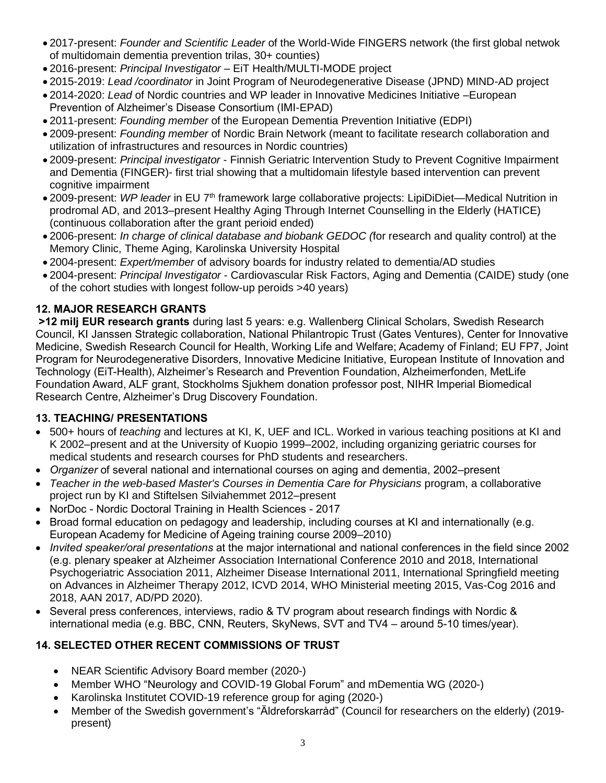- 2017-present: *Founder and Scientific Leader* of the World-Wide FINGERS network (the first global netwok of multidomain dementia prevention trilas, 30+ counties)
- 2016-present: *Principal Investigator* EiT Health/MULTI-MODE project
- 2015-2019: *Lead /coordinator* in Joint Program of Neurodegenerative Disease (JPND) MIND-AD project
- 2014-2020: *Lead* of Nordic countries and WP leader in Innovative Medicines Initiative –European Prevention of Alzheimer's Disease Consortium (IMI-EPAD)
- 2011-present: *Founding member* of the European Dementia Prevention Initiative (EDPI)
- 2009-present: *Founding member* of Nordic Brain Network (meant to facilitate research collaboration and utilization of infrastructures and resources in Nordic countries)
- 2009-present: *Principal investigator* Finnish Geriatric Intervention Study to Prevent Cognitive Impairment and Dementia (FINGER)- first trial showing that a multidomain lifestyle based intervention can prevent cognitive impairment
- 2009-present: *WP leader* in EU 7th framework large collaborative projects: LipiDiDiet—Medical Nutrition in prodromal AD, and 2013–present Healthy Aging Through Internet Counselling in the Elderly (HATICE) (continuous collaboration after the grant perioid ended)
- 2006-present: *In charge of clinical database and biobank GEDOC (*for research and quality control) at the Memory Clinic, Theme Aging, Karolinska University Hospital
- 2004-present: *Expert/member* of advisory boards for industry related to dementia/AD studies
- 2004-present: *Principal Investigator* Cardiovascular Risk Factors, Aging and Dementia (CAIDE) study (one of the cohort studies with longest follow-up peroids >40 years)

# **12. MAJOR RESEARCH GRANTS**

**>12 milj EUR research grants** during last 5 years: e.g. Wallenberg Clinical Scholars, Swedish Research Council, KI Janssen Strategic collaboration, National Philantropic Trust (Gates Ventures), Center for Innovative Medicine, Swedish Research Council for Health, Working Life and Welfare; Academy of Finland; EU FP7, Joint Program for Neurodegenerative Disorders, Innovative Medicine Initiative, European Institute of Innovation and Technology (EiT-Health), Alzheimer's Research and Prevention Foundation, Alzheimerfonden, MetLife Foundation Award, ALF grant, Stockholms Sjukhem donation professor post, NIHR Imperial Biomedical Research Centre, Alzheimer's Drug Discovery Foundation.

# **13. TEACHING/ PRESENTATIONS**

- 500+ hours of *teaching* and lectures at KI, K, UEF and ICL. Worked in various teaching positions at KI and K 2002–present and at the University of Kuopio 1999–2002, including organizing geriatric courses for medical students and research courses for PhD students and researchers.
- *Organizer* of several national and international courses on aging and dementia, 2002–present
- *Teacher in the web-based Master's Courses in Dementia Care for Physicians* program, a collaborative project run by KI and Stiftelsen Silviahemmet 2012–present
- NorDoc Nordic Doctoral Training in Health Sciences 2017
- Broad formal education on pedagogy and leadership, including courses at KI and internationally (e.g. European Academy for Medicine of Ageing training course 2009–2010)
- *Invited speaker/oral presentations* at the major international and national conferences in the field since 2002 (e.g. plenary speaker at Alzheimer Association International Conference 2010 and 2018, International Psychogeriatric Association 2011, Alzheimer Disease International 2011, International Springfield meeting on Advances in Alzheimer Therapy 2012, ICVD 2014, WHO Ministerial meeting 2015, Vas-Cog 2016 and 2018, AAN 2017, AD/PD 2020).
- Several press conferences, interviews, radio & TV program about research findings with Nordic & international media (e.g. BBC, CNN, Reuters, SkyNews, SVT and TV4 – around 5-10 times/year).

# **14. SELECTED OTHER RECENT COMMISSIONS OF TRUST**

- NEAR Scientific Advisory Board member (2020-)
- Member WHO "Neurology and COVID-19 Global Forum" and mDementia WG (2020-)
- Karolinska Institutet COVID-19 reference group for aging (2020-)
- Member of the Swedish government's "Äldreforskarråd" (Council for researchers on the elderly) (2019 present)